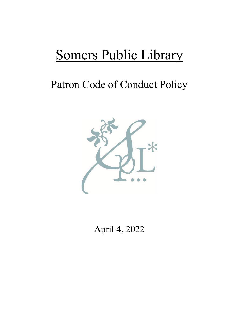# Somers Public Library

# Patron Code of Conduct Policy



April 4, 2022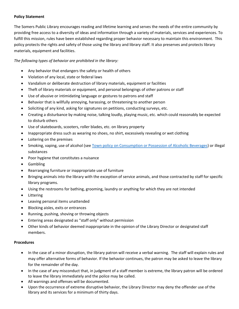#### **Policy Statement**

The Somers Public Library encourages reading and lifetime learning and serves the needs of the entire community by providing free access to a diversity of ideas and information through a variety of materials, services and experiences. To fulfill this mission, rules have been established regarding proper behavior necessary to maintain this environment. This policy protects the rights and safety of those using the library and library staff. It also preserves and protects library materials, equipment and facilities.

#### *The following types of behavior are prohibited in the library:*

- Any behavior that endangers the safety or health of others
- Violation of any local, state or federal laws
- Vandalism or deliberate destruction of library materials, equipment or facilities
- Theft of library materials or equipment, and personal belongings of other patrons or staff
- Use of abusive or intimidating language or gestures to patrons and staff
- Behavior that is willfully annoying, harassing, or threatening to another person
- Soliciting of any kind, asking for signatures on petitions, conducting surveys, etc.
- Creating a disturbance by making noise, talking loudly, playing music, etc. which could reasonably be expected to disturb others
- Use of skateboards, scooters, roller blades, etc. on library property
- Inappropriate dress such as wearing no shoes, no shirt, excessively revealing or wet clothing
- Loitering on the premises
- Smoking, vaping, use of alcohol (se[e Town policy on Consumption or Possession of Alcoholic Beverages\)](https://ecode360.com/8850350) or illegal substances
- Poor hygiene that constitutes a nuisance
- Gambling
- Rearranging furniture or inappropriate use of furniture
- Bringing animals into the library with the exception of service animals, and those contracted by staff for specific library programs.
- Using the restrooms for bathing, grooming, laundry or anything for which they are not intended
- Littering
- Leaving personal items unattended
- Blocking aisles, exits or entrances
- Running, pushing, shoving or throwing objects
- Entering areas designated as "staff only" without permission
- Other kinds of behavior deemed inappropriate in the opinion of the Library Director or designated staff members.

#### **Procedures**

- In the case of a minor disruption, the library patron will receive a verbal warning. The staff will explain rules and may offer alternative forms of behavior. If the behavior continues, the patron may be asked to leave the library for the remainder of the day.
- In the case of any misconduct that, in judgment of a staff member is extreme, the library patron will be ordered to leave the library immediately and the police may be called.
- All warnings and offenses will be documented.
- Upon the occurrence of extreme disruptive behavior, the Library Director may deny the offender use of the library and its services for a minimum of thirty days.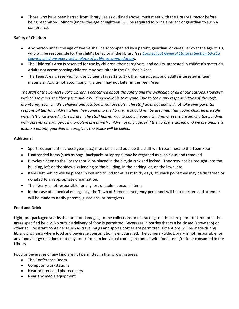• Those who have been barred from library use as outlined above, must meet with the Library Director before being readmitted. Minors (under the age of eighteen) will be required to bring a parent or guardian to such a conference.

# **Safety of Children**

- Any person under the age of twelve shall be accompanied by a parent, guardian, or caregiver over the age of 18, who will be responsible for the child's behavior in the library *(see [Connecticut General Statutes Section 53-21a](https://www.cga.ct.gov/current/pub/chap_939.htm#sec_53-21a)  [Leaving child unsupervised in place of public accommodation\)](https://www.cga.ct.gov/current/pub/chap_939.htm#sec_53-21a).*
- The Children's Area is reserved for use by children, their caregivers, and adults interested in children's materials. Adults not accompanying children may not loiter in the Children's Area
- The Teen Area is reserved for use by teens (ages 12 to 17), their caregivers, and adults interested in teen materials. Adults not accompanying a teen may not loiter in the Teen Area

*The staff of the Somers Public Library is concerned about the safety and the wellbeing of all of our patrons. However, with this in mind, the library is a public building available to anyone. Due to the many responsibilities of the staff, monitoring each child's behavior and location is not possible. The staff does not and will not take over parental responsibilities for children when they come into the library. It should not be assumed that young children are safe when left unattended in the library. The staff has no way to know if young children or teens are leaving the building with parents or strangers. If a problem arises with children of any age, or if the library is closing and we are unable to locate a parent, guardian or caregiver, the police will be called.*

## **Additional**

- Sports equipment (lacrosse gear, etc.) must be placed outside the staff work room next to the Teen Room
- Unattended items (such as bags, backpacks or laptops) may be regarded as suspicious and removed.
- Bicycles ridden to the library should be placed in the bicycle rack and locked. They may not be brought into the building, left on the sidewalks leading to the building, in the parking lot, on the lawn, etc.
- Items left behind will be placed in lost and found for at least thirty days, at which point they may be discarded or donated to an appropriate organization.
- The library is not responsible for any lost or stolen personal items
- In the case of a medical emergency, the Town of Somers emergency personnel will be requested and attempts will be made to notify parents, guardians, or caregivers

## **Food and Drink**

Light, pre-packaged snacks that are not damaging to the collections or distracting to others are permitted except in the areas specified below. No outside delivery of food is permitted. Beverages in bottles that can be closed (screw top) or other spill resistant containers such as travel mugs and sports bottles are permitted. Exceptions will be made during library programs where food and beverage consumption is encouraged. The Somers Public Library is not responsible for any food allergy reactions that may occur from an individual coming in contact with food items/residue consumed in the Library.

Food or beverages of any kind are not permitted in the following areas:

- The Conference Room
- Computer workstations
- Near printers and photocopiers
- Near any media equipment